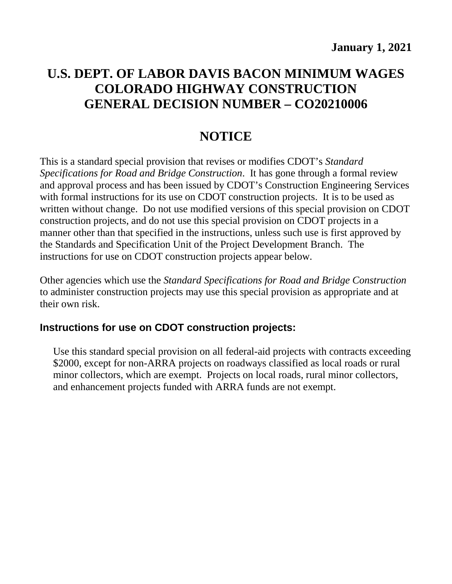# **U.S. DEPT. OF LABOR DAVIS BACON MINIMUM WAGES COLORADO HIGHWAY CONSTRUCTION GENERAL DECISION NUMBER – CO20210006**

# **NOTICE**

This is a standard special provision that revises or modifies CDOT's *Standard Specifications for Road and Bridge Construction*. It has gone through a formal review and approval process and has been issued by CDOT's Construction Engineering Services with formal instructions for its use on CDOT construction projects. It is to be used as written without change. Do not use modified versions of this special provision on CDOT construction projects, and do not use this special provision on CDOT projects in a manner other than that specified in the instructions, unless such use is first approved by the Standards and Specification Unit of the Project Development Branch. The instructions for use on CDOT construction projects appear below.

Other agencies which use the *Standard Specifications for Road and Bridge Construction* to administer construction projects may use this special provision as appropriate and at their own risk.

### **Instructions for use on CDOT construction projects:**

Use this standard special provision on all federal-aid projects with contracts exceeding \$2000, except for non-ARRA projects on roadways classified as local roads or rural minor collectors, which are exempt. Projects on local roads, rural minor collectors, and enhancement projects funded with ARRA funds are not exempt.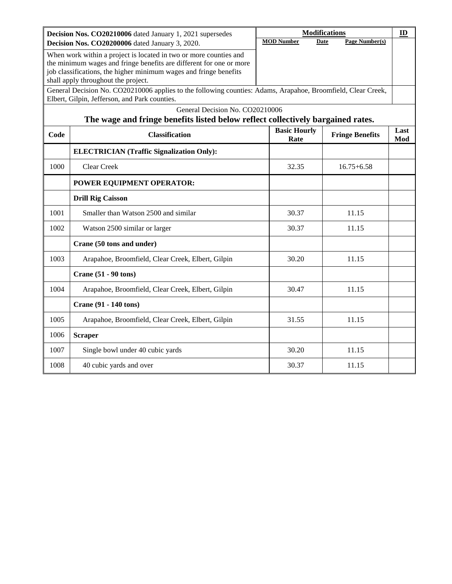|      | Decision Nos. CO20210006 dated January 1, 2021 supersedes                                                    |                             | <b>Modifications</b>          | ID          |
|------|--------------------------------------------------------------------------------------------------------------|-----------------------------|-------------------------------|-------------|
|      | Decision Nos. CO20200006 dated January 3, 2020.                                                              | <b>MOD Number</b>           | Page Number(s)<br><b>Date</b> |             |
|      | When work within a project is located in two or more counties and                                            |                             |                               |             |
|      | the minimum wages and fringe benefits are different for one or more                                          |                             |                               |             |
|      | job classifications, the higher minimum wages and fringe benefits<br>shall apply throughout the project.     |                             |                               |             |
|      | General Decision No. CO20210006 applies to the following counties: Adams, Arapahoe, Broomfield, Clear Creek, |                             |                               |             |
|      | Elbert, Gilpin, Jefferson, and Park counties.                                                                |                             |                               |             |
|      | General Decision No. CO20210006                                                                              |                             |                               |             |
|      | The wage and fringe benefits listed below reflect collectively bargained rates.                              |                             |                               |             |
| Code | <b>Classification</b>                                                                                        | <b>Basic Hourly</b><br>Rate | <b>Fringe Benefits</b>        | Last<br>Mod |
|      | <b>ELECTRICIAN (Traffic Signalization Only):</b>                                                             |                             |                               |             |
| 1000 | <b>Clear Creek</b>                                                                                           | 32.35                       | $16.75 + 6.58$                |             |
|      | POWER EQUIPMENT OPERATOR:                                                                                    |                             |                               |             |
|      | <b>Drill Rig Caisson</b>                                                                                     |                             |                               |             |
| 1001 | Smaller than Watson 2500 and similar                                                                         | 30.37                       | 11.15                         |             |
| 1002 | Watson 2500 similar or larger                                                                                | 30.37                       | 11.15                         |             |
|      | Crane (50 tons and under)                                                                                    |                             |                               |             |
| 1003 | Arapahoe, Broomfield, Clear Creek, Elbert, Gilpin                                                            | 30.20                       | 11.15                         |             |
|      | <b>Crane (51 - 90 tons)</b>                                                                                  |                             |                               |             |
| 1004 | Arapahoe, Broomfield, Clear Creek, Elbert, Gilpin                                                            | 30.47                       | 11.15                         |             |
|      | <b>Crane (91 - 140 tons)</b>                                                                                 |                             |                               |             |
| 1005 | Arapahoe, Broomfield, Clear Creek, Elbert, Gilpin                                                            | 31.55                       | 11.15                         |             |
| 1006 | <b>Scraper</b>                                                                                               |                             |                               |             |
| 1007 | Single bowl under 40 cubic yards                                                                             | 30.20                       | 11.15                         |             |
| 1008 | 40 cubic yards and over                                                                                      | 30.37                       | 11.15                         |             |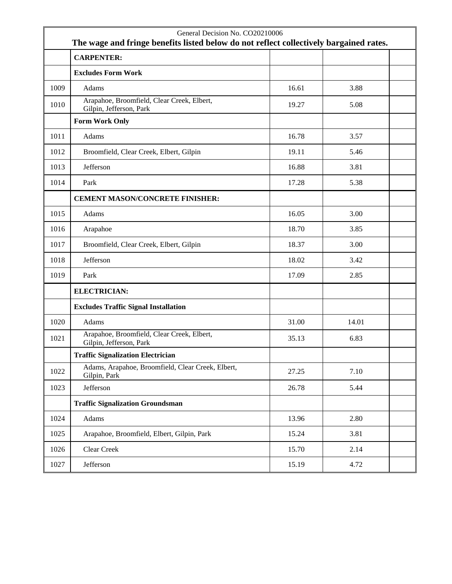|      | General Decision No. CO20210006<br>The wage and fringe benefits listed below do not reflect collectively bargained rates. |       |       |  |
|------|---------------------------------------------------------------------------------------------------------------------------|-------|-------|--|
|      | <b>CARPENTER:</b>                                                                                                         |       |       |  |
|      | <b>Excludes Form Work</b>                                                                                                 |       |       |  |
| 1009 | Adams                                                                                                                     | 16.61 | 3.88  |  |
| 1010 | Arapahoe, Broomfield, Clear Creek, Elbert,<br>Gilpin, Jefferson, Park                                                     | 19.27 | 5.08  |  |
|      | <b>Form Work Only</b>                                                                                                     |       |       |  |
| 1011 | Adams                                                                                                                     | 16.78 | 3.57  |  |
| 1012 | Broomfield, Clear Creek, Elbert, Gilpin                                                                                   | 19.11 | 5.46  |  |
| 1013 | Jefferson                                                                                                                 | 16.88 | 3.81  |  |
| 1014 | Park                                                                                                                      | 17.28 | 5.38  |  |
|      | <b>CEMENT MASON/CONCRETE FINISHER:</b>                                                                                    |       |       |  |
| 1015 | Adams                                                                                                                     | 16.05 | 3.00  |  |
| 1016 | Arapahoe                                                                                                                  | 18.70 | 3.85  |  |
| 1017 | Broomfield, Clear Creek, Elbert, Gilpin                                                                                   | 18.37 | 3.00  |  |
| 1018 | Jefferson                                                                                                                 | 18.02 | 3.42  |  |
| 1019 | Park                                                                                                                      | 17.09 | 2.85  |  |
|      | <b>ELECTRICIAN:</b>                                                                                                       |       |       |  |
|      | <b>Excludes Traffic Signal Installation</b>                                                                               |       |       |  |
| 1020 | Adams                                                                                                                     | 31.00 | 14.01 |  |
| 1021 | Arapahoe, Broomfield, Clear Creek, Elbert,<br>Gilpin, Jefferson, Park                                                     | 35.13 | 6.83  |  |
|      | <b>Traffic Signalization Electrician</b>                                                                                  |       |       |  |
| 1022 | Adams, Arapahoe, Broomfield, Clear Creek, Elbert,<br>Gilpin, Park                                                         | 27.25 | 7.10  |  |
| 1023 | Jefferson                                                                                                                 | 26.78 | 5.44  |  |
|      | <b>Traffic Signalization Groundsman</b>                                                                                   |       |       |  |
| 1024 | Adams                                                                                                                     | 13.96 | 2.80  |  |
| 1025 | Arapahoe, Broomfield, Elbert, Gilpin, Park                                                                                | 15.24 | 3.81  |  |
| 1026 | Clear Creek                                                                                                               | 15.70 | 2.14  |  |
| 1027 | Jefferson                                                                                                                 | 15.19 | 4.72  |  |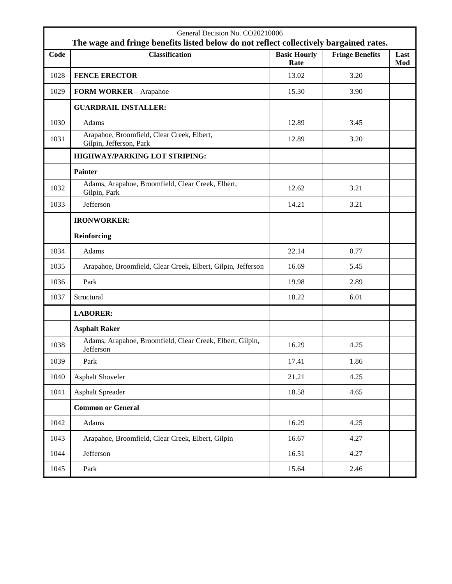|      | General Decision No. CO20210006<br>The wage and fringe benefits listed below do not reflect collectively bargained rates. |                             |                        |             |
|------|---------------------------------------------------------------------------------------------------------------------------|-----------------------------|------------------------|-------------|
| Code | <b>Classification</b>                                                                                                     | <b>Basic Hourly</b><br>Rate | <b>Fringe Benefits</b> | Last<br>Mod |
| 1028 | <b>FENCE ERECTOR</b>                                                                                                      | 13.02                       | 3.20                   |             |
| 1029 | FORM WORKER - Arapahoe                                                                                                    | 15.30                       | 3.90                   |             |
|      | <b>GUARDRAIL INSTALLER:</b>                                                                                               |                             |                        |             |
| 1030 | Adams                                                                                                                     | 12.89                       | 3.45                   |             |
| 1031 | Arapahoe, Broomfield, Clear Creek, Elbert,<br>Gilpin, Jefferson, Park                                                     | 12.89                       | 3.20                   |             |
|      | HIGHWAY/PARKING LOT STRIPING:                                                                                             |                             |                        |             |
|      | Painter                                                                                                                   |                             |                        |             |
| 1032 | Adams, Arapahoe, Broomfield, Clear Creek, Elbert,<br>Gilpin, Park                                                         | 12.62                       | 3.21                   |             |
| 1033 | Jefferson                                                                                                                 | 14.21                       | 3.21                   |             |
|      | <b>IRONWORKER:</b>                                                                                                        |                             |                        |             |
|      | Reinforcing                                                                                                               |                             |                        |             |
| 1034 | Adams                                                                                                                     | 22.14                       | 0.77                   |             |
| 1035 | Arapahoe, Broomfield, Clear Creek, Elbert, Gilpin, Jefferson                                                              | 16.69                       | 5.45                   |             |
| 1036 | Park                                                                                                                      | 19.98                       | 2.89                   |             |
| 1037 | Structural                                                                                                                | 18.22                       | 6.01                   |             |
|      | <b>LABORER:</b>                                                                                                           |                             |                        |             |
|      | <b>Asphalt Raker</b>                                                                                                      |                             |                        |             |
| 1038 | Adams, Arapahoe, Broomfield, Clear Creek, Elbert, Gilpin,<br>Jefferson                                                    | 16.29                       | 4.25                   |             |
| 1039 | Park                                                                                                                      | 17.41                       | 1.86                   |             |
| 1040 | Asphalt Shoveler                                                                                                          | 21.21                       | 4.25                   |             |
| 1041 | <b>Asphalt Spreader</b>                                                                                                   | 18.58                       | 4.65                   |             |
|      | <b>Common or General</b>                                                                                                  |                             |                        |             |
| 1042 | Adams                                                                                                                     | 16.29                       | 4.25                   |             |
| 1043 | Arapahoe, Broomfield, Clear Creek, Elbert, Gilpin                                                                         | 16.67                       | 4.27                   |             |
| 1044 | Jefferson                                                                                                                 | 16.51                       | 4.27                   |             |
| 1045 | Park                                                                                                                      | 15.64                       | 2.46                   |             |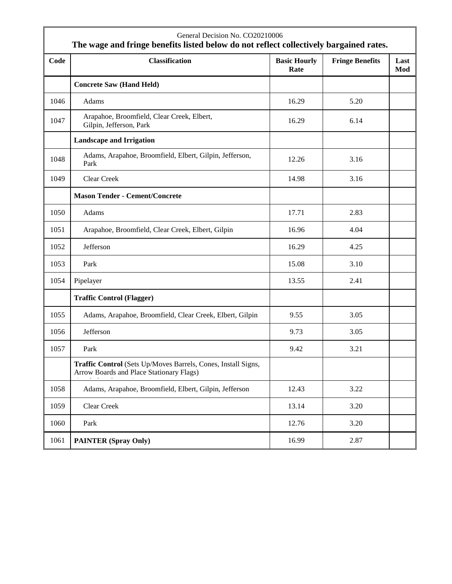|      | General Decision No. CO20210006<br>The wage and fringe benefits listed below do not reflect collectively bargained rates. |                             |                        |             |
|------|---------------------------------------------------------------------------------------------------------------------------|-----------------------------|------------------------|-------------|
| Code | <b>Classification</b>                                                                                                     | <b>Basic Hourly</b><br>Rate | <b>Fringe Benefits</b> | Last<br>Mod |
|      | <b>Concrete Saw (Hand Held)</b>                                                                                           |                             |                        |             |
| 1046 | Adams                                                                                                                     | 16.29                       | 5.20                   |             |
| 1047 | Arapahoe, Broomfield, Clear Creek, Elbert,<br>Gilpin, Jefferson, Park                                                     | 16.29                       | 6.14                   |             |
|      | <b>Landscape and Irrigation</b>                                                                                           |                             |                        |             |
| 1048 | Adams, Arapahoe, Broomfield, Elbert, Gilpin, Jefferson,<br>Park                                                           | 12.26                       | 3.16                   |             |
| 1049 | <b>Clear Creek</b>                                                                                                        | 14.98                       | 3.16                   |             |
|      | <b>Mason Tender - Cement/Concrete</b>                                                                                     |                             |                        |             |
| 1050 | Adams                                                                                                                     | 17.71                       | 2.83                   |             |
| 1051 | Arapahoe, Broomfield, Clear Creek, Elbert, Gilpin                                                                         | 16.96                       | 4.04                   |             |
| 1052 | Jefferson                                                                                                                 | 16.29                       | 4.25                   |             |
| 1053 | Park                                                                                                                      | 15.08                       | 3.10                   |             |
| 1054 | Pipelayer                                                                                                                 | 13.55                       | 2.41                   |             |
|      | <b>Traffic Control (Flagger)</b>                                                                                          |                             |                        |             |
| 1055 | Adams, Arapahoe, Broomfield, Clear Creek, Elbert, Gilpin                                                                  | 9.55                        | 3.05                   |             |
| 1056 | Jefferson                                                                                                                 | 9.73                        | 3.05                   |             |
| 1057 | Park                                                                                                                      | 9.42                        | 3.21                   |             |
|      | Traffic Control (Sets Up/Moves Barrels, Cones, Install Signs,<br>Arrow Boards and Place Stationary Flags)                 |                             |                        |             |
| 1058 | Adams, Arapahoe, Broomfield, Elbert, Gilpin, Jefferson                                                                    | 12.43                       | 3.22                   |             |
| 1059 | Clear Creek                                                                                                               | 13.14                       | 3.20                   |             |
| 1060 | Park                                                                                                                      | 12.76                       | 3.20                   |             |
| 1061 | <b>PAINTER (Spray Only)</b>                                                                                               | 16.99                       | 2.87                   |             |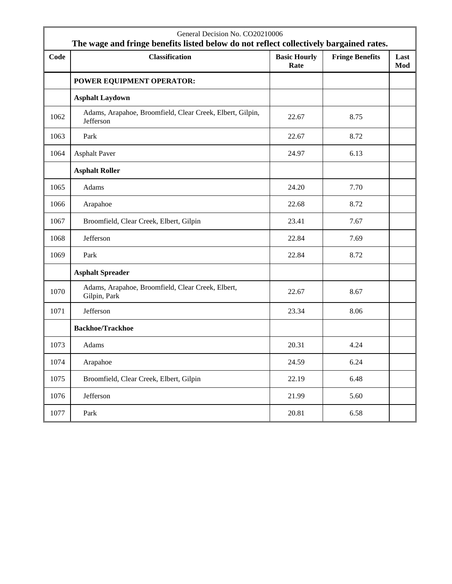|      | General Decision No. CO20210006<br>The wage and fringe benefits listed below do not reflect collectively bargained rates. |                             |                        |             |
|------|---------------------------------------------------------------------------------------------------------------------------|-----------------------------|------------------------|-------------|
| Code | <b>Classification</b>                                                                                                     | <b>Basic Hourly</b><br>Rate | <b>Fringe Benefits</b> | Last<br>Mod |
|      | POWER EQUIPMENT OPERATOR:                                                                                                 |                             |                        |             |
|      | <b>Asphalt Laydown</b>                                                                                                    |                             |                        |             |
| 1062 | Adams, Arapahoe, Broomfield, Clear Creek, Elbert, Gilpin,<br>Jefferson                                                    | 22.67                       | 8.75                   |             |
| 1063 | Park                                                                                                                      | 22.67                       | 8.72                   |             |
| 1064 | <b>Asphalt Paver</b>                                                                                                      | 24.97                       | 6.13                   |             |
|      | <b>Asphalt Roller</b>                                                                                                     |                             |                        |             |
| 1065 | Adams                                                                                                                     | 24.20                       | 7.70                   |             |
| 1066 | Arapahoe                                                                                                                  | 22.68                       | 8.72                   |             |
| 1067 | Broomfield, Clear Creek, Elbert, Gilpin                                                                                   | 23.41                       | 7.67                   |             |
| 1068 | Jefferson                                                                                                                 | 22.84                       | 7.69                   |             |
| 1069 | Park                                                                                                                      | 22.84                       | 8.72                   |             |
|      | <b>Asphalt Spreader</b>                                                                                                   |                             |                        |             |
| 1070 | Adams, Arapahoe, Broomfield, Clear Creek, Elbert,<br>Gilpin, Park                                                         | 22.67                       | 8.67                   |             |
| 1071 | Jefferson                                                                                                                 | 23.34                       | 8.06                   |             |
|      | <b>Backhoe/Trackhoe</b>                                                                                                   |                             |                        |             |
| 1073 | Adams                                                                                                                     | 20.31                       | 4.24                   |             |
| 1074 | Arapahoe                                                                                                                  | 24.59                       | 6.24                   |             |
| 1075 | Broomfield, Clear Creek, Elbert, Gilpin                                                                                   | 22.19                       | 6.48                   |             |
| 1076 | Jefferson                                                                                                                 | 21.99                       | 5.60                   |             |
| 1077 | Park                                                                                                                      | 20.81                       | 6.58                   |             |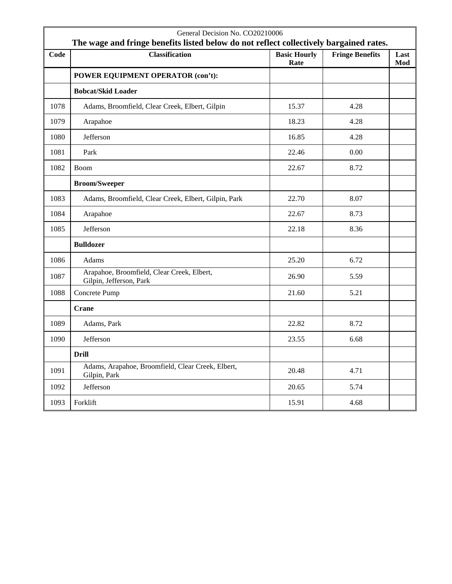|      | General Decision No. CO20210006<br>The wage and fringe benefits listed below do not reflect collectively bargained rates. |                             |                        |             |
|------|---------------------------------------------------------------------------------------------------------------------------|-----------------------------|------------------------|-------------|
| Code | <b>Classification</b>                                                                                                     | <b>Basic Hourly</b><br>Rate | <b>Fringe Benefits</b> | Last<br>Mod |
|      | POWER EQUIPMENT OPERATOR (con't):                                                                                         |                             |                        |             |
|      | <b>Bobcat/Skid Loader</b>                                                                                                 |                             |                        |             |
| 1078 | Adams, Broomfield, Clear Creek, Elbert, Gilpin                                                                            | 15.37                       | 4.28                   |             |
| 1079 | Arapahoe                                                                                                                  | 18.23                       | 4.28                   |             |
| 1080 | Jefferson                                                                                                                 | 16.85                       | 4.28                   |             |
| 1081 | Park                                                                                                                      | 22.46                       | 0.00                   |             |
| 1082 | <b>Boom</b>                                                                                                               | 22.67                       | 8.72                   |             |
|      | <b>Broom/Sweeper</b>                                                                                                      |                             |                        |             |
| 1083 | Adams, Broomfield, Clear Creek, Elbert, Gilpin, Park                                                                      | 22.70                       | 8.07                   |             |
| 1084 | Arapahoe                                                                                                                  | 22.67                       | 8.73                   |             |
| 1085 | Jefferson                                                                                                                 | 22.18                       | 8.36                   |             |
|      | <b>Bulldozer</b>                                                                                                          |                             |                        |             |
| 1086 | Adams                                                                                                                     | 25.20                       | 6.72                   |             |
| 1087 | Arapahoe, Broomfield, Clear Creek, Elbert,<br>Gilpin, Jefferson, Park                                                     | 26.90                       | 5.59                   |             |
| 1088 | Concrete Pump                                                                                                             | 21.60                       | 5.21                   |             |
|      | Crane                                                                                                                     |                             |                        |             |
| 1089 | Adams, Park                                                                                                               | 22.82                       | 8.72                   |             |
| 1090 | Jefferson                                                                                                                 | 23.55                       | 6.68                   |             |
|      | <b>Drill</b>                                                                                                              |                             |                        |             |
| 1091 | Adams, Arapahoe, Broomfield, Clear Creek, Elbert,<br>Gilpin, Park                                                         | 20.48                       | 4.71                   |             |
| 1092 | Jefferson                                                                                                                 | 20.65                       | 5.74                   |             |
| 1093 | Forklift                                                                                                                  | 15.91                       | 4.68                   |             |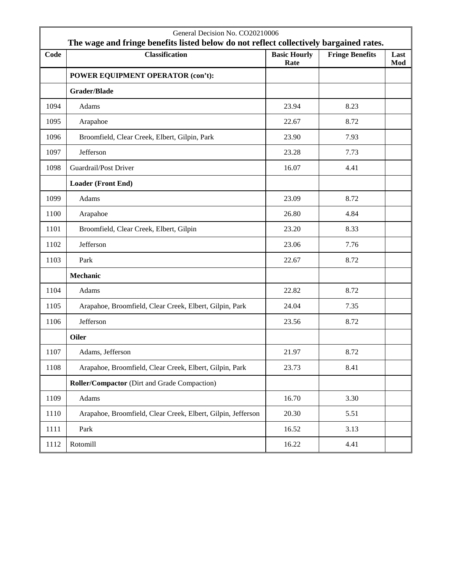|      | General Decision No. CO20210006<br>The wage and fringe benefits listed below do not reflect collectively bargained rates. |                             |                        |             |
|------|---------------------------------------------------------------------------------------------------------------------------|-----------------------------|------------------------|-------------|
| Code | <b>Classification</b>                                                                                                     | <b>Basic Hourly</b><br>Rate | <b>Fringe Benefits</b> | Last<br>Mod |
|      | POWER EQUIPMENT OPERATOR (con't):                                                                                         |                             |                        |             |
|      | <b>Grader/Blade</b>                                                                                                       |                             |                        |             |
| 1094 | Adams                                                                                                                     | 23.94                       | 8.23                   |             |
| 1095 | Arapahoe                                                                                                                  | 22.67                       | 8.72                   |             |
| 1096 | Broomfield, Clear Creek, Elbert, Gilpin, Park                                                                             | 23.90                       | 7.93                   |             |
| 1097 | Jefferson                                                                                                                 | 23.28                       | 7.73                   |             |
| 1098 | Guardrail/Post Driver                                                                                                     | 16.07                       | 4.41                   |             |
|      | Loader (Front End)                                                                                                        |                             |                        |             |
| 1099 | Adams                                                                                                                     | 23.09                       | 8.72                   |             |
| 1100 | Arapahoe                                                                                                                  | 26.80                       | 4.84                   |             |
| 1101 | Broomfield, Clear Creek, Elbert, Gilpin                                                                                   | 23.20                       | 8.33                   |             |
| 1102 | Jefferson                                                                                                                 | 23.06                       | 7.76                   |             |
| 1103 | Park                                                                                                                      | 22.67                       | 8.72                   |             |
|      | Mechanic                                                                                                                  |                             |                        |             |
| 1104 | Adams                                                                                                                     | 22.82                       | 8.72                   |             |
| 1105 | Arapahoe, Broomfield, Clear Creek, Elbert, Gilpin, Park                                                                   | 24.04                       | 7.35                   |             |
| 1106 | Jefferson                                                                                                                 | 23.56                       | 8.72                   |             |
|      | <b>Oiler</b>                                                                                                              |                             |                        |             |
| 1107 | Adams, Jefferson                                                                                                          | 21.97                       | 8.72                   |             |
| 1108 | Arapahoe, Broomfield, Clear Creek, Elbert, Gilpin, Park                                                                   | 23.73                       | 8.41                   |             |
|      | Roller/Compactor (Dirt and Grade Compaction)                                                                              |                             |                        |             |
| 1109 | Adams                                                                                                                     | 16.70                       | 3.30                   |             |
| 1110 | Arapahoe, Broomfield, Clear Creek, Elbert, Gilpin, Jefferson                                                              | 20.30                       | 5.51                   |             |
| 1111 | Park                                                                                                                      | 16.52                       | 3.13                   |             |
| 1112 | Rotomill                                                                                                                  | 16.22                       | 4.41                   |             |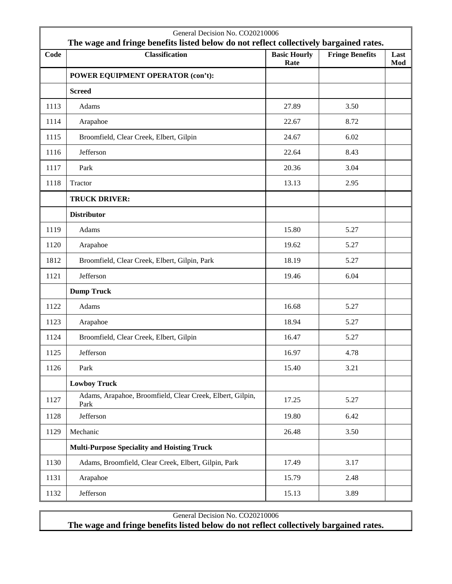|      | General Decision No. CO20210006<br>The wage and fringe benefits listed below do not reflect collectively bargained rates. |                             |                        |             |  |
|------|---------------------------------------------------------------------------------------------------------------------------|-----------------------------|------------------------|-------------|--|
| Code | <b>Classification</b>                                                                                                     | <b>Basic Hourly</b><br>Rate | <b>Fringe Benefits</b> | Last<br>Mod |  |
|      | POWER EQUIPMENT OPERATOR (con't):                                                                                         |                             |                        |             |  |
|      | <b>Screed</b>                                                                                                             |                             |                        |             |  |
| 1113 | Adams                                                                                                                     | 27.89                       | 3.50                   |             |  |
| 1114 | Arapahoe                                                                                                                  | 22.67                       | 8.72                   |             |  |
| 1115 | Broomfield, Clear Creek, Elbert, Gilpin                                                                                   | 24.67                       | 6.02                   |             |  |
| 1116 | Jefferson                                                                                                                 | 22.64                       | 8.43                   |             |  |
| 1117 | Park                                                                                                                      | 20.36                       | 3.04                   |             |  |
| 1118 | Tractor                                                                                                                   | 13.13                       | 2.95                   |             |  |
|      | <b>TRUCK DRIVER:</b>                                                                                                      |                             |                        |             |  |
|      | <b>Distributor</b>                                                                                                        |                             |                        |             |  |
| 1119 | Adams                                                                                                                     | 15.80                       | 5.27                   |             |  |
| 1120 | Arapahoe                                                                                                                  | 19.62                       | 5.27                   |             |  |
| 1812 | Broomfield, Clear Creek, Elbert, Gilpin, Park                                                                             | 18.19                       | 5.27                   |             |  |
| 1121 | Jefferson                                                                                                                 | 19.46                       | 6.04                   |             |  |
|      | <b>Dump Truck</b>                                                                                                         |                             |                        |             |  |
| 1122 | Adams                                                                                                                     | 16.68                       | 5.27                   |             |  |
| 1123 | Arapahoe                                                                                                                  | 18.94                       | 5.27                   |             |  |
| 1124 | Broomfield, Clear Creek, Elbert, Gilpin                                                                                   | 16.47                       | 5.27                   |             |  |
| 1125 | Jefferson                                                                                                                 | 16.97                       | 4.78                   |             |  |
| 1126 | Park                                                                                                                      | 15.40                       | 3.21                   |             |  |
|      | <b>Lowboy Truck</b>                                                                                                       |                             |                        |             |  |
| 1127 | Adams, Arapahoe, Broomfield, Clear Creek, Elbert, Gilpin,<br>Park                                                         | 17.25                       | 5.27                   |             |  |
| 1128 | Jefferson                                                                                                                 | 19.80                       | 6.42                   |             |  |
| 1129 | Mechanic                                                                                                                  | 26.48                       | 3.50                   |             |  |
|      | <b>Multi-Purpose Speciality and Hoisting Truck</b>                                                                        |                             |                        |             |  |
| 1130 | Adams, Broomfield, Clear Creek, Elbert, Gilpin, Park                                                                      | 17.49                       | 3.17                   |             |  |
| 1131 | Arapahoe                                                                                                                  | 15.79                       | 2.48                   |             |  |
| 1132 | Jefferson                                                                                                                 | 15.13                       | 3.89                   |             |  |

General Decision No. CO20210006

**The wage and fringe benefits listed below do not reflect collectively bargained rates.**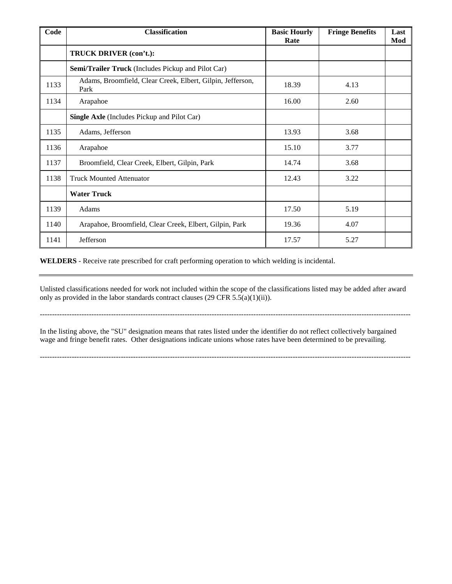| Code | <b>Classification</b>                                              | <b>Basic Hourly</b><br>Rate | <b>Fringe Benefits</b> | Last<br>Mod |
|------|--------------------------------------------------------------------|-----------------------------|------------------------|-------------|
|      | TRUCK DRIVER (con't.):                                             |                             |                        |             |
|      | <b>Semi/Trailer Truck</b> (Includes Pickup and Pilot Car)          |                             |                        |             |
| 1133 | Adams, Broomfield, Clear Creek, Elbert, Gilpin, Jefferson,<br>Park | 18.39                       | 4.13                   |             |
| 1134 | Arapahoe                                                           | 16.00                       | 2.60                   |             |
|      | <b>Single Axle</b> (Includes Pickup and Pilot Car)                 |                             |                        |             |
| 1135 | Adams, Jefferson                                                   | 13.93                       | 3.68                   |             |
| 1136 | Arapahoe                                                           | 15.10                       | 3.77                   |             |
| 1137 | Broomfield, Clear Creek, Elbert, Gilpin, Park                      | 14.74                       | 3.68                   |             |
| 1138 | <b>Truck Mounted Attenuator</b>                                    | 12.43                       | 3.22                   |             |
|      | <b>Water Truck</b>                                                 |                             |                        |             |
| 1139 | Adams                                                              | 17.50                       | 5.19                   |             |
| 1140 | Arapahoe, Broomfield, Clear Creek, Elbert, Gilpin, Park            | 19.36                       | 4.07                   |             |
| 1141 | Jefferson                                                          | 17.57                       | 5.27                   |             |

**WELDERS** - Receive rate prescribed for craft performing operation to which welding is incidental.

Unlisted classifications needed for work not included within the scope of the classifications listed may be added after award only as provided in the labor standards contract clauses (29 CFR  $5.5(a)(1)(ii)$ ).

-------------------------------------------------------------------------------------------------------------------------------------------------------

In the listing above, the "SU" designation means that rates listed under the identifier do not reflect collectively bargained wage and fringe benefit rates. Other designations indicate unions whose rates have been determined to be prevailing.

-------------------------------------------------------------------------------------------------------------------------------------------------------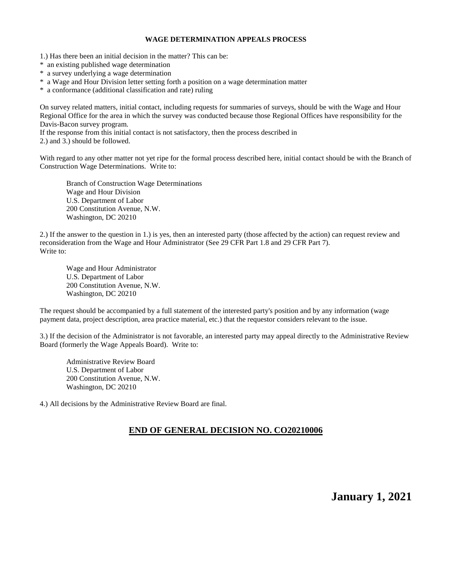#### **WAGE DETERMINATION APPEALS PROCESS**

1.) Has there been an initial decision in the matter? This can be:

\* an existing published wage determination

\* a survey underlying a wage determination

\* a Wage and Hour Division letter setting forth a position on a wage determination matter

\* a conformance (additional classification and rate) ruling

On survey related matters, initial contact, including requests for summaries of surveys, should be with the Wage and Hour Regional Office for the area in which the survey was conducted because those Regional Offices have responsibility for the Davis-Bacon survey program.

If the response from this initial contact is not satisfactory, then the process described in

2.) and 3.) should be followed.

With regard to any other matter not yet ripe for the formal process described here, initial contact should be with the Branch of Construction Wage Determinations. Write to:

Branch of Construction Wage Determinations Wage and Hour Division U.S. Department of Labor 200 Constitution Avenue, N.W. Washington, DC 20210

2.) If the answer to the question in 1.) is yes, then an interested party (those affected by the action) can request review and reconsideration from the Wage and Hour Administrator (See 29 CFR Part 1.8 and 29 CFR Part 7). Write to:

Wage and Hour Administrator U.S. Department of Labor 200 Constitution Avenue, N.W. Washington, DC 20210

The request should be accompanied by a full statement of the interested party's position and by any information (wage payment data, project description, area practice material, etc.) that the requestor considers relevant to the issue.

3.) If the decision of the Administrator is not favorable, an interested party may appeal directly to the Administrative Review Board (formerly the Wage Appeals Board). Write to:

Administrative Review Board U.S. Department of Labor 200 Constitution Avenue, N.W. Washington, DC 20210

4.) All decisions by the Administrative Review Board are final.

### **END OF GENERAL DECISION NO. CO20210006**

**January 1, 2021**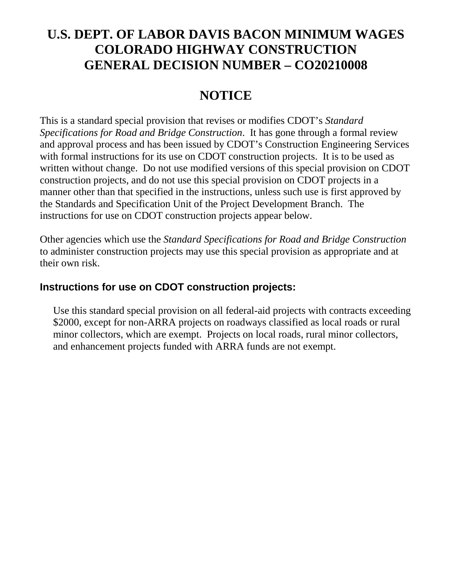# **U.S. DEPT. OF LABOR DAVIS BACON MINIMUM WAGES COLORADO HIGHWAY CONSTRUCTION GENERAL DECISION NUMBER – CO20210008**

# **NOTICE**

This is a standard special provision that revises or modifies CDOT's *Standard Specifications for Road and Bridge Construction*. It has gone through a formal review and approval process and has been issued by CDOT's Construction Engineering Services with formal instructions for its use on CDOT construction projects. It is to be used as written without change. Do not use modified versions of this special provision on CDOT construction projects, and do not use this special provision on CDOT projects in a manner other than that specified in the instructions, unless such use is first approved by the Standards and Specification Unit of the Project Development Branch. The instructions for use on CDOT construction projects appear below.

Other agencies which use the *Standard Specifications for Road and Bridge Construction* to administer construction projects may use this special provision as appropriate and at their own risk.

### **Instructions for use on CDOT construction projects:**

Use this standard special provision on all federal-aid projects with contracts exceeding \$2000, except for non-ARRA projects on roadways classified as local roads or rural minor collectors, which are exempt. Projects on local roads, rural minor collectors, and enhancement projects funded with ARRA funds are not exempt.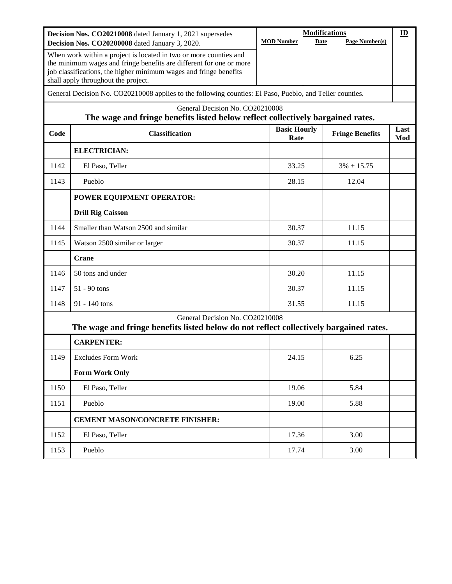|      | Decision Nos. CO20210008 dated January 1, 2021 supersedes                                                                                                                                                                                            |                             | <b>Modifications</b>   | $\underline{\mathbf{m}}$ |
|------|------------------------------------------------------------------------------------------------------------------------------------------------------------------------------------------------------------------------------------------------------|-----------------------------|------------------------|--------------------------|
|      | Decision Nos. CO20200008 dated January 3, 2020.                                                                                                                                                                                                      | <b>MOD Number</b><br>Date   | Page Number(s)         |                          |
|      | When work within a project is located in two or more counties and<br>the minimum wages and fringe benefits are different for one or more<br>job classifications, the higher minimum wages and fringe benefits<br>shall apply throughout the project. |                             |                        |                          |
|      | General Decision No. CO20210008 applies to the following counties: El Paso, Pueblo, and Teller counties.                                                                                                                                             |                             |                        |                          |
|      | General Decision No. CO20210008<br>The wage and fringe benefits listed below reflect collectively bargained rates.                                                                                                                                   |                             |                        |                          |
| Code | <b>Classification</b>                                                                                                                                                                                                                                | <b>Basic Hourly</b><br>Rate | <b>Fringe Benefits</b> | Last<br>Mod              |
|      | <b>ELECTRICIAN:</b>                                                                                                                                                                                                                                  |                             |                        |                          |
| 1142 | El Paso, Teller                                                                                                                                                                                                                                      | 33.25                       | $3\% + 15.75$          |                          |
| 1143 | Pueblo                                                                                                                                                                                                                                               | 28.15                       | 12.04                  |                          |
|      | POWER EQUIPMENT OPERATOR:                                                                                                                                                                                                                            |                             |                        |                          |
|      | <b>Drill Rig Caisson</b>                                                                                                                                                                                                                             |                             |                        |                          |
| 1144 | Smaller than Watson 2500 and similar                                                                                                                                                                                                                 | 30.37                       | 11.15                  |                          |
| 1145 | Watson 2500 similar or larger                                                                                                                                                                                                                        | 30.37                       | 11.15                  |                          |
|      | <b>Crane</b>                                                                                                                                                                                                                                         |                             |                        |                          |
| 1146 | 50 tons and under                                                                                                                                                                                                                                    | 30.20                       | 11.15                  |                          |
| 1147 | $51 - 90$ tons                                                                                                                                                                                                                                       | 30.37                       | 11.15                  |                          |
| 1148 | 91 - 140 tons                                                                                                                                                                                                                                        | 31.55                       | 11.15                  |                          |
|      | General Decision No. CO20210008<br>The wage and fringe benefits listed below do not reflect collectively bargained rates.                                                                                                                            |                             |                        |                          |
|      | <b>CARPENTER:</b>                                                                                                                                                                                                                                    |                             |                        |                          |
| 1149 | <b>Excludes Form Work</b>                                                                                                                                                                                                                            | 24.15                       | 6.25                   |                          |
|      | <b>Form Work Only</b>                                                                                                                                                                                                                                |                             |                        |                          |
| 1150 | El Paso, Teller                                                                                                                                                                                                                                      | 19.06                       | 5.84                   |                          |
| 1151 | Pueblo                                                                                                                                                                                                                                               | 19.00                       | 5.88                   |                          |
|      | <b>CEMENT MASON/CONCRETE FINISHER:</b>                                                                                                                                                                                                               |                             |                        |                          |
| 1152 | El Paso, Teller                                                                                                                                                                                                                                      | 17.36                       | 3.00                   |                          |
| 1153 | Pueblo                                                                                                                                                                                                                                               | 17.74                       | 3.00                   |                          |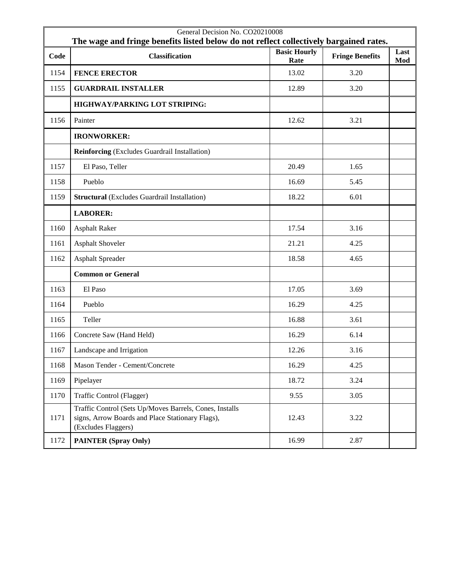|      | General Decision No. CO20210008<br>The wage and fringe benefits listed below do not reflect collectively bargained rates.          |                             |                        |             |
|------|------------------------------------------------------------------------------------------------------------------------------------|-----------------------------|------------------------|-------------|
| Code | <b>Classification</b>                                                                                                              | <b>Basic Hourly</b><br>Rate | <b>Fringe Benefits</b> | Last<br>Mod |
| 1154 | <b>FENCE ERECTOR</b>                                                                                                               | 13.02                       | 3.20                   |             |
| 1155 | <b>GUARDRAIL INSTALLER</b>                                                                                                         | 12.89                       | 3.20                   |             |
|      | <b>HIGHWAY/PARKING LOT STRIPING:</b>                                                                                               |                             |                        |             |
| 1156 | Painter                                                                                                                            | 12.62                       | 3.21                   |             |
|      | <b>IRONWORKER:</b>                                                                                                                 |                             |                        |             |
|      | <b>Reinforcing</b> (Excludes Guardrail Installation)                                                                               |                             |                        |             |
| 1157 | El Paso, Teller                                                                                                                    | 20.49                       | 1.65                   |             |
| 1158 | Pueblo                                                                                                                             | 16.69                       | 5.45                   |             |
| 1159 | <b>Structural</b> (Excludes Guardrail Installation)                                                                                | 18.22                       | 6.01                   |             |
|      | <b>LABORER:</b>                                                                                                                    |                             |                        |             |
| 1160 | <b>Asphalt Raker</b>                                                                                                               | 17.54                       | 3.16                   |             |
| 1161 | <b>Asphalt Shoveler</b>                                                                                                            | 21.21                       | 4.25                   |             |
| 1162 | <b>Asphalt Spreader</b>                                                                                                            | 18.58                       | 4.65                   |             |
|      | <b>Common or General</b>                                                                                                           |                             |                        |             |
| 1163 | El Paso                                                                                                                            | 17.05                       | 3.69                   |             |
| 1164 | Pueblo                                                                                                                             | 16.29                       | 4.25                   |             |
| 1165 | Teller                                                                                                                             | 16.88                       | 3.61                   |             |
| 1166 | Concrete Saw (Hand Held)                                                                                                           | 16.29                       | 6.14                   |             |
| 1167 | Landscape and Irrigation                                                                                                           | 12.26                       | 3.16                   |             |
| 1168 | Mason Tender - Cement/Concrete                                                                                                     | 16.29                       | 4.25                   |             |
| 1169 | Pipelayer                                                                                                                          | 18.72                       | 3.24                   |             |
| 1170 | Traffic Control (Flagger)                                                                                                          | 9.55                        | 3.05                   |             |
| 1171 | Traffic Control (Sets Up/Moves Barrels, Cones, Installs<br>signs, Arrow Boards and Place Stationary Flags),<br>(Excludes Flaggers) | 12.43                       | 3.22                   |             |
| 1172 | <b>PAINTER (Spray Only)</b>                                                                                                        | 16.99                       | 2.87                   |             |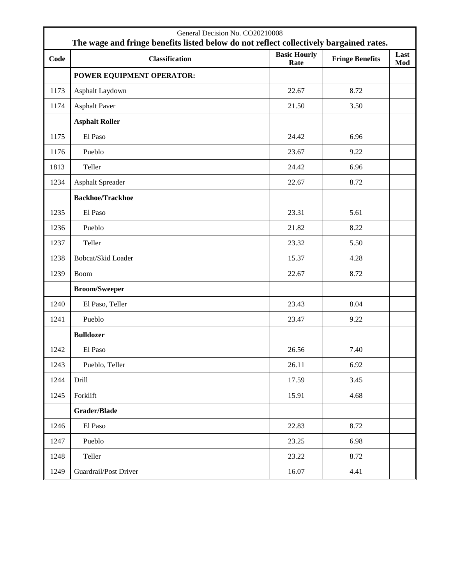|      | General Decision No. CO20210008<br>The wage and fringe benefits listed below do not reflect collectively bargained rates. |                             |                        |             |
|------|---------------------------------------------------------------------------------------------------------------------------|-----------------------------|------------------------|-------------|
| Code | <b>Classification</b>                                                                                                     | <b>Basic Hourly</b><br>Rate | <b>Fringe Benefits</b> | Last<br>Mod |
|      | POWER EQUIPMENT OPERATOR:                                                                                                 |                             |                        |             |
| 1173 | Asphalt Laydown                                                                                                           | 22.67                       | 8.72                   |             |
| 1174 | <b>Asphalt Paver</b>                                                                                                      | 21.50                       | 3.50                   |             |
|      | <b>Asphalt Roller</b>                                                                                                     |                             |                        |             |
| 1175 | El Paso                                                                                                                   | 24.42                       | 6.96                   |             |
| 1176 | Pueblo                                                                                                                    | 23.67                       | 9.22                   |             |
| 1813 | Teller                                                                                                                    | 24.42                       | 6.96                   |             |
| 1234 | <b>Asphalt Spreader</b>                                                                                                   | 22.67                       | 8.72                   |             |
|      | <b>Backhoe/Trackhoe</b>                                                                                                   |                             |                        |             |
| 1235 | El Paso                                                                                                                   | 23.31                       | 5.61                   |             |
| 1236 | Pueblo                                                                                                                    | 21.82                       | 8.22                   |             |
| 1237 | Teller                                                                                                                    | 23.32                       | 5.50                   |             |
| 1238 | Bobcat/Skid Loader                                                                                                        | 15.37                       | 4.28                   |             |
| 1239 | <b>Boom</b>                                                                                                               | 22.67                       | 8.72                   |             |
|      | <b>Broom/Sweeper</b>                                                                                                      |                             |                        |             |
| 1240 | El Paso, Teller                                                                                                           | 23.43                       | 8.04                   |             |
| 1241 | Pueblo                                                                                                                    | 23.47                       | 9.22                   |             |
|      | <b>Bulldozer</b>                                                                                                          |                             |                        |             |
| 1242 | El Paso                                                                                                                   | 26.56                       | 7.40                   |             |
| 1243 | Pueblo, Teller                                                                                                            | 26.11                       | 6.92                   |             |
| 1244 | Drill                                                                                                                     | 17.59                       | 3.45                   |             |
| 1245 | Forklift                                                                                                                  | 15.91                       | 4.68                   |             |
|      | Grader/Blade                                                                                                              |                             |                        |             |
| 1246 | El Paso                                                                                                                   | 22.83                       | 8.72                   |             |
| 1247 | Pueblo                                                                                                                    | 23.25                       | 6.98                   |             |
| 1248 | Teller                                                                                                                    | 23.22                       | 8.72                   |             |
| 1249 | Guardrail/Post Driver                                                                                                     | 16.07                       | 4.41                   |             |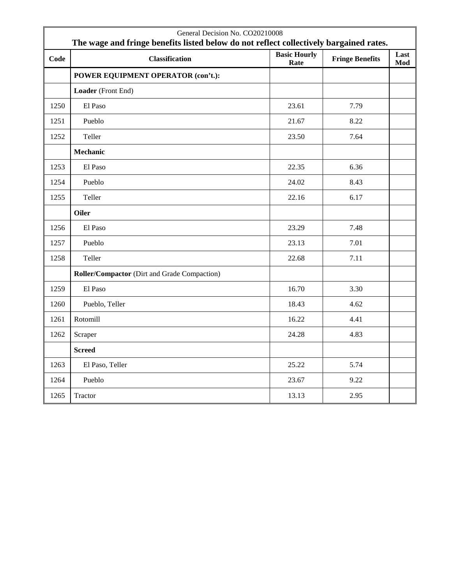| General Decision No. CO20210008<br>The wage and fringe benefits listed below do not reflect collectively bargained rates. |                                              |                             |                        |             |
|---------------------------------------------------------------------------------------------------------------------------|----------------------------------------------|-----------------------------|------------------------|-------------|
| Code                                                                                                                      | <b>Classification</b>                        | <b>Basic Hourly</b><br>Rate | <b>Fringe Benefits</b> | Last<br>Mod |
|                                                                                                                           | POWER EQUIPMENT OPERATOR (con't.):           |                             |                        |             |
|                                                                                                                           | Loader (Front End)                           |                             |                        |             |
| 1250                                                                                                                      | El Paso                                      | 23.61                       | 7.79                   |             |
| 1251                                                                                                                      | Pueblo                                       | 21.67                       | 8.22                   |             |
| 1252                                                                                                                      | Teller                                       | 23.50                       | 7.64                   |             |
|                                                                                                                           | Mechanic                                     |                             |                        |             |
| 1253                                                                                                                      | El Paso                                      | 22.35                       | 6.36                   |             |
| 1254                                                                                                                      | Pueblo                                       | 24.02                       | 8.43                   |             |
| 1255                                                                                                                      | Teller                                       | 22.16                       | 6.17                   |             |
|                                                                                                                           | Oiler                                        |                             |                        |             |
| 1256                                                                                                                      | El Paso                                      | 23.29                       | 7.48                   |             |
| 1257                                                                                                                      | Pueblo                                       | 23.13                       | 7.01                   |             |
| 1258                                                                                                                      | Teller                                       | 22.68                       | 7.11                   |             |
|                                                                                                                           | Roller/Compactor (Dirt and Grade Compaction) |                             |                        |             |
| 1259                                                                                                                      | El Paso                                      | 16.70                       | 3.30                   |             |
| 1260                                                                                                                      | Pueblo, Teller                               | 18.43                       | 4.62                   |             |
| 1261                                                                                                                      | Rotomill                                     | 16.22                       | 4.41                   |             |
| 1262                                                                                                                      | Scraper                                      | 24.28                       | 4.83                   |             |
|                                                                                                                           | <b>Screed</b>                                |                             |                        |             |
| 1263                                                                                                                      | El Paso, Teller                              | 25.22                       | 5.74                   |             |
| 1264                                                                                                                      | Pueblo                                       | 23.67                       | 9.22                   |             |
| 1265                                                                                                                      | Tractor                                      | 13.13                       | 2.95                   |             |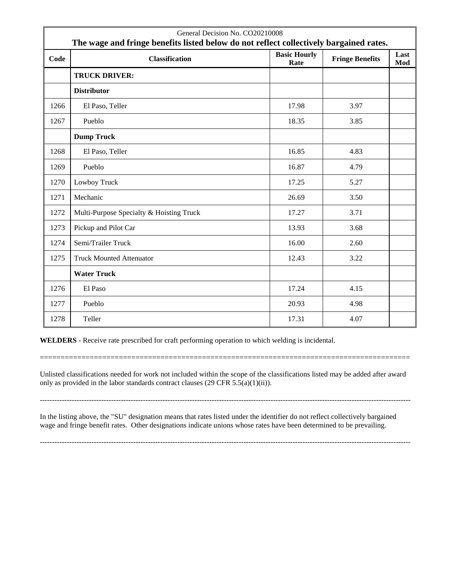| General Decision No. CO20210008<br>The wage and fringe benefits listed below do not reflect collectively bargained rates. |                                          |                             |                        |             |
|---------------------------------------------------------------------------------------------------------------------------|------------------------------------------|-----------------------------|------------------------|-------------|
| Code                                                                                                                      | <b>Classification</b>                    | <b>Basic Hourly</b><br>Rate | <b>Fringe Benefits</b> | Last<br>Mod |
|                                                                                                                           | <b>TRUCK DRIVER:</b>                     |                             |                        |             |
|                                                                                                                           | <b>Distributor</b>                       |                             |                        |             |
| 1266                                                                                                                      | El Paso, Teller                          | 17.98                       | 3.97                   |             |
| 1267                                                                                                                      | Pueblo                                   | 18.35                       | 3.85                   |             |
|                                                                                                                           | <b>Dump Truck</b>                        |                             |                        |             |
| 1268                                                                                                                      | El Paso, Teller                          | 16.85                       | 4.83                   |             |
| 1269                                                                                                                      | Pueblo                                   | 16.87                       | 4.79                   |             |
| 1270                                                                                                                      | Lowboy Truck                             | 17.25                       | 5.27                   |             |
| 1271                                                                                                                      | Mechanic                                 | 26.69                       | 3.50                   |             |
| 1272                                                                                                                      | Multi-Purpose Specialty & Hoisting Truck | 17.27                       | 3.71                   |             |
| 1273                                                                                                                      | Pickup and Pilot Car                     | 13.93                       | 3.68                   |             |
| 1274                                                                                                                      | Semi/Trailer Truck                       | 16.00                       | 2.60                   |             |
| 1275                                                                                                                      | <b>Truck Mounted Attenuator</b>          | 12.43                       | 3.22                   |             |
|                                                                                                                           | <b>Water Truck</b>                       |                             |                        |             |
| 1276                                                                                                                      | El Paso                                  | 17.24                       | 4.15                   |             |
| 1277                                                                                                                      | Pueblo                                   | 20.93                       | 4.98                   |             |
| 1278                                                                                                                      | Teller                                   | 17.31                       | 4.07                   |             |

**WELDERS** - Receive rate prescribed for craft performing operation to which welding is incidental.

Unlisted classifications needed for work not included within the scope of the classifications listed may be added after award only as provided in the labor standards contract clauses (29 CFR 5.5(a)(1)(ii)).

-------------------------------------------------------------------------------------------------------------------------------------------------------

=========================================================================================

In the listing above, the "SU" designation means that rates listed under the identifier do not reflect collectively bargained wage and fringe benefit rates. Other designations indicate unions whose rates have been determined to be prevailing.

-------------------------------------------------------------------------------------------------------------------------------------------------------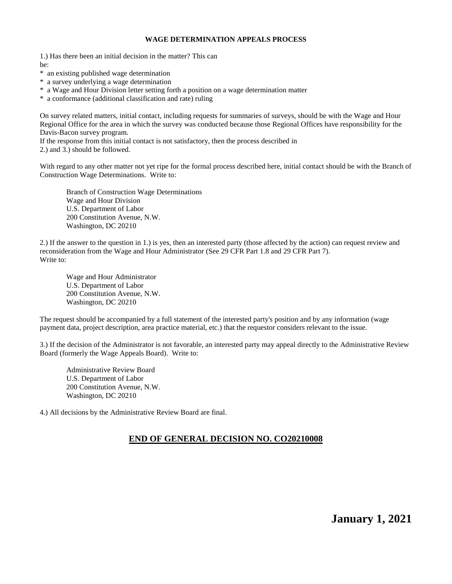#### **WAGE DETERMINATION APPEALS PROCESS**

1.) Has there been an initial decision in the matter? This can be:

- \* an existing published wage determination
- \* a survey underlying a wage determination
- \* a Wage and Hour Division letter setting forth a position on a wage determination matter
- \* a conformance (additional classification and rate) ruling

On survey related matters, initial contact, including requests for summaries of surveys, should be with the Wage and Hour Regional Office for the area in which the survey was conducted because those Regional Offices have responsibility for the Davis-Bacon survey program.

If the response from this initial contact is not satisfactory, then the process described in

2.) and 3.) should be followed.

With regard to any other matter not yet ripe for the formal process described here, initial contact should be with the Branch of Construction Wage Determinations. Write to:

Branch of Construction Wage Determinations Wage and Hour Division U.S. Department of Labor 200 Constitution Avenue, N.W. Washington, DC 20210

2.) If the answer to the question in 1.) is yes, then an interested party (those affected by the action) can request review and reconsideration from the Wage and Hour Administrator (See 29 CFR Part 1.8 and 29 CFR Part 7). Write to:

Wage and Hour Administrator U.S. Department of Labor 200 Constitution Avenue, N.W. Washington, DC 20210

The request should be accompanied by a full statement of the interested party's position and by any information (wage payment data, project description, area practice material, etc.) that the requestor considers relevant to the issue.

3.) If the decision of the Administrator is not favorable, an interested party may appeal directly to the Administrative Review Board (formerly the Wage Appeals Board). Write to:

Administrative Review Board U.S. Department of Labor 200 Constitution Avenue, N.W. Washington, DC 20210

4.) All decisions by the Administrative Review Board are final.

### **END OF GENERAL DECISION NO. CO20210008**

**January 1, 2021**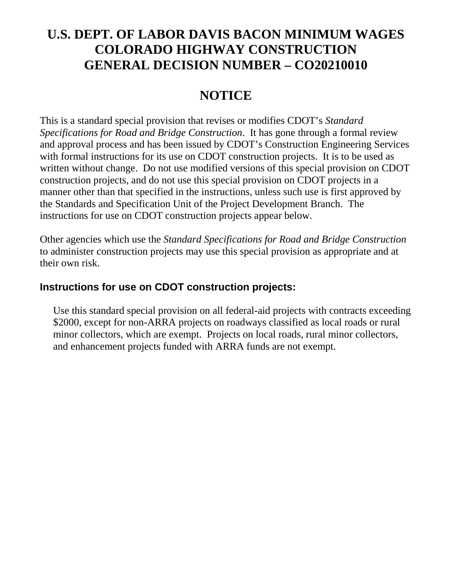# **U.S. DEPT. OF LABOR DAVIS BACON MINIMUM WAGES COLORADO HIGHWAY CONSTRUCTION GENERAL DECISION NUMBER – CO20210010**

# **NOTICE**

This is a standard special provision that revises or modifies CDOT's *Standard Specifications for Road and Bridge Construction*. It has gone through a formal review and approval process and has been issued by CDOT's Construction Engineering Services with formal instructions for its use on CDOT construction projects. It is to be used as written without change. Do not use modified versions of this special provision on CDOT construction projects, and do not use this special provision on CDOT projects in a manner other than that specified in the instructions, unless such use is first approved by the Standards and Specification Unit of the Project Development Branch. The instructions for use on CDOT construction projects appear below.

Other agencies which use the *Standard Specifications for Road and Bridge Construction* to administer construction projects may use this special provision as appropriate and at their own risk.

### **Instructions for use on CDOT construction projects:**

Use this standard special provision on all federal-aid projects with contracts exceeding \$2000, except for non-ARRA projects on roadways classified as local roads or rural minor collectors, which are exempt. Projects on local roads, rural minor collectors, and enhancement projects funded with ARRA funds are not exempt.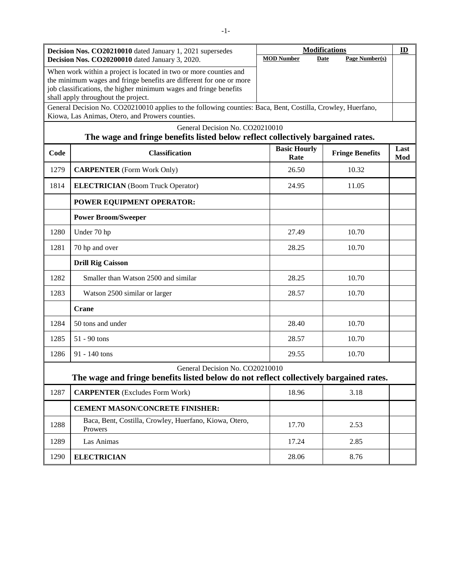| Decision Nos. CO20210010 dated January 1, 2021 supersedes<br>Decision Nos. CO20200010 dated January 3, 2020.       |                                                                                                                                                                                                                                                      | <b>Modifications</b>        |                               | $\mathbf{D}$ |
|--------------------------------------------------------------------------------------------------------------------|------------------------------------------------------------------------------------------------------------------------------------------------------------------------------------------------------------------------------------------------------|-----------------------------|-------------------------------|--------------|
|                                                                                                                    |                                                                                                                                                                                                                                                      | <b>MOD Number</b>           | Page Number(s)<br><b>Date</b> |              |
|                                                                                                                    | When work within a project is located in two or more counties and<br>the minimum wages and fringe benefits are different for one or more<br>job classifications, the higher minimum wages and fringe benefits<br>shall apply throughout the project. |                             |                               |              |
|                                                                                                                    | General Decision No. CO20210010 applies to the following counties: Baca, Bent, Costilla, Crowley, Huerfano,<br>Kiowa, Las Animas, Otero, and Prowers counties.                                                                                       |                             |                               |              |
| General Decision No. CO20210010<br>The wage and fringe benefits listed below reflect collectively bargained rates. |                                                                                                                                                                                                                                                      |                             |                               |              |
| Code                                                                                                               | <b>Classification</b>                                                                                                                                                                                                                                | <b>Basic Hourly</b><br>Rate | <b>Fringe Benefits</b>        | Last<br>Mod  |
| 1279                                                                                                               | <b>CARPENTER</b> (Form Work Only)                                                                                                                                                                                                                    | 26.50                       | 10.32                         |              |
| 1814                                                                                                               | <b>ELECTRICIAN</b> (Boom Truck Operator)                                                                                                                                                                                                             | 24.95                       | 11.05                         |              |
|                                                                                                                    | POWER EQUIPMENT OPERATOR:                                                                                                                                                                                                                            |                             |                               |              |
|                                                                                                                    | <b>Power Broom/Sweeper</b>                                                                                                                                                                                                                           |                             |                               |              |
| 1280                                                                                                               | Under 70 hp                                                                                                                                                                                                                                          | 27.49                       | 10.70                         |              |
| 1281                                                                                                               | 70 hp and over                                                                                                                                                                                                                                       | 28.25                       | 10.70                         |              |
|                                                                                                                    | <b>Drill Rig Caisson</b>                                                                                                                                                                                                                             |                             |                               |              |
| 1282                                                                                                               | Smaller than Watson 2500 and similar                                                                                                                                                                                                                 | 28.25                       | 10.70                         |              |
| 1283                                                                                                               | Watson 2500 similar or larger                                                                                                                                                                                                                        | 28.57                       | 10.70                         |              |
|                                                                                                                    | Crane                                                                                                                                                                                                                                                |                             |                               |              |
| 1284                                                                                                               | 50 tons and under                                                                                                                                                                                                                                    | 28.40                       | 10.70                         |              |
| 1285                                                                                                               | $51 - 90$ tons                                                                                                                                                                                                                                       | 28.57                       | 10.70                         |              |
| 1286                                                                                                               | $91 - 140$ tons                                                                                                                                                                                                                                      | 29.55                       | 10.70                         |              |
|                                                                                                                    | General Decision No. CO20210010<br>The wage and fringe benefits listed below do not reflect collectively bargained rates.                                                                                                                            |                             |                               |              |
| 1287                                                                                                               | <b>CARPENTER</b> (Excludes Form Work)                                                                                                                                                                                                                | 18.96                       | 3.18                          |              |
|                                                                                                                    | <b>CEMENT MASON/CONCRETE FINISHER:</b>                                                                                                                                                                                                               |                             |                               |              |
| 1288                                                                                                               | Baca, Bent, Costilla, Crowley, Huerfano, Kiowa, Otero,<br>Prowers                                                                                                                                                                                    | 17.70                       | 2.53                          |              |
| 1289                                                                                                               | Las Animas                                                                                                                                                                                                                                           | 17.24                       | 2.85                          |              |
| 1290                                                                                                               | <b>ELECTRICIAN</b>                                                                                                                                                                                                                                   | 28.06                       | 8.76                          |              |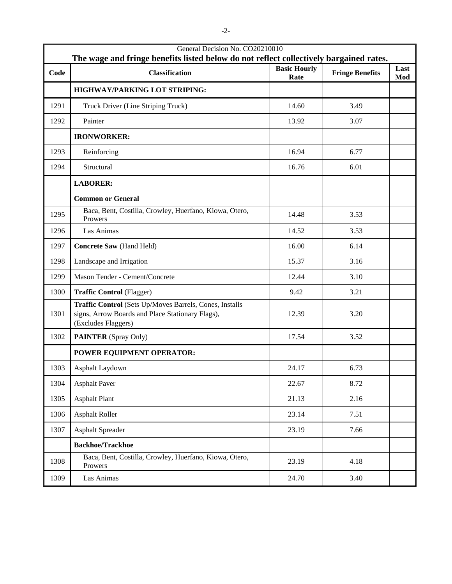| General Decision No. CO20210010<br>The wage and fringe benefits listed below do not reflect collectively bargained rates. |                                                                                                                                    |                             |                        |             |
|---------------------------------------------------------------------------------------------------------------------------|------------------------------------------------------------------------------------------------------------------------------------|-----------------------------|------------------------|-------------|
| Code                                                                                                                      | <b>Classification</b>                                                                                                              | <b>Basic Hourly</b><br>Rate | <b>Fringe Benefits</b> | Last<br>Mod |
|                                                                                                                           | HIGHWAY/PARKING LOT STRIPING:                                                                                                      |                             |                        |             |
| 1291                                                                                                                      | Truck Driver (Line Striping Truck)                                                                                                 | 14.60                       | 3.49                   |             |
| 1292                                                                                                                      | Painter                                                                                                                            | 13.92                       | 3.07                   |             |
|                                                                                                                           | <b>IRONWORKER:</b>                                                                                                                 |                             |                        |             |
| 1293                                                                                                                      | Reinforcing                                                                                                                        | 16.94                       | 6.77                   |             |
| 1294                                                                                                                      | Structural                                                                                                                         | 16.76                       | 6.01                   |             |
|                                                                                                                           | <b>LABORER:</b>                                                                                                                    |                             |                        |             |
|                                                                                                                           | <b>Common or General</b>                                                                                                           |                             |                        |             |
| 1295                                                                                                                      | Baca, Bent, Costilla, Crowley, Huerfano, Kiowa, Otero,<br>Prowers                                                                  | 14.48                       | 3.53                   |             |
| 1296                                                                                                                      | Las Animas                                                                                                                         | 14.52                       | 3.53                   |             |
| 1297                                                                                                                      | Concrete Saw (Hand Held)                                                                                                           | 16.00                       | 6.14                   |             |
| 1298                                                                                                                      | Landscape and Irrigation                                                                                                           | 15.37                       | 3.16                   |             |
| 1299                                                                                                                      | Mason Tender - Cement/Concrete                                                                                                     | 12.44                       | 3.10                   |             |
| 1300                                                                                                                      | <b>Traffic Control (Flagger)</b>                                                                                                   | 9.42                        | 3.21                   |             |
| 1301                                                                                                                      | Traffic Control (Sets Up/Moves Barrels, Cones, Installs<br>signs, Arrow Boards and Place Stationary Flags),<br>(Excludes Flaggers) | 12.39                       | 3.20                   |             |
| 1302                                                                                                                      | <b>PAINTER</b> (Spray Only)                                                                                                        | 17.54                       | 3.52                   |             |
|                                                                                                                           | POWER EQUIPMENT OPERATOR:                                                                                                          |                             |                        |             |
| 1303                                                                                                                      | Asphalt Laydown                                                                                                                    | 24.17                       | 6.73                   |             |
| 1304                                                                                                                      | <b>Asphalt Paver</b>                                                                                                               | 22.67                       | 8.72                   |             |
| 1305                                                                                                                      | <b>Asphalt Plant</b>                                                                                                               | 21.13                       | 2.16                   |             |
| 1306                                                                                                                      | <b>Asphalt Roller</b>                                                                                                              | 23.14                       | 7.51                   |             |
| 1307                                                                                                                      | <b>Asphalt Spreader</b>                                                                                                            | 23.19                       | 7.66                   |             |
|                                                                                                                           | <b>Backhoe/Trackhoe</b>                                                                                                            |                             |                        |             |
| 1308                                                                                                                      | Baca, Bent, Costilla, Crowley, Huerfano, Kiowa, Otero,<br>Prowers                                                                  | 23.19                       | 4.18                   |             |
| 1309                                                                                                                      | Las Animas                                                                                                                         | 24.70                       | 3.40                   |             |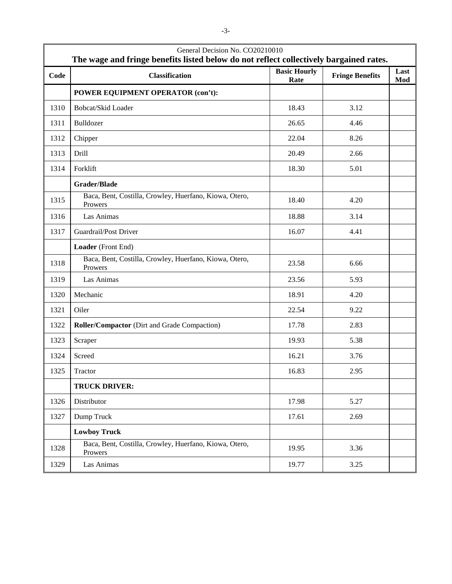| General Decision No. CO20210010<br>The wage and fringe benefits listed below do not reflect collectively bargained rates. |                                                                   |                             |                        |             |
|---------------------------------------------------------------------------------------------------------------------------|-------------------------------------------------------------------|-----------------------------|------------------------|-------------|
| Code                                                                                                                      | <b>Classification</b>                                             | <b>Basic Hourly</b><br>Rate | <b>Fringe Benefits</b> | Last<br>Mod |
|                                                                                                                           | POWER EQUIPMENT OPERATOR (con't):                                 |                             |                        |             |
| 1310                                                                                                                      | Bobcat/Skid Loader                                                | 18.43                       | 3.12                   |             |
| 1311                                                                                                                      | Bulldozer                                                         | 26.65                       | 4.46                   |             |
| 1312                                                                                                                      | Chipper                                                           | 22.04                       | 8.26                   |             |
| 1313                                                                                                                      | Drill                                                             | 20.49                       | 2.66                   |             |
| 1314                                                                                                                      | Forklift                                                          | 18.30                       | 5.01                   |             |
|                                                                                                                           | <b>Grader/Blade</b>                                               |                             |                        |             |
| 1315                                                                                                                      | Baca, Bent, Costilla, Crowley, Huerfano, Kiowa, Otero,<br>Prowers | 18.40                       | 4.20                   |             |
| 1316                                                                                                                      | Las Animas                                                        | 18.88                       | 3.14                   |             |
| 1317                                                                                                                      | Guardrail/Post Driver                                             | 16.07                       | 4.41                   |             |
|                                                                                                                           | Loader (Front End)                                                |                             |                        |             |
| 1318                                                                                                                      | Baca, Bent, Costilla, Crowley, Huerfano, Kiowa, Otero,<br>Prowers | 23.58                       | 6.66                   |             |
| 1319                                                                                                                      | Las Animas                                                        | 23.56                       | 5.93                   |             |
| 1320                                                                                                                      | Mechanic                                                          | 18.91                       | 4.20                   |             |
| 1321                                                                                                                      | Oiler                                                             | 22.54                       | 9.22                   |             |
| 1322                                                                                                                      | Roller/Compactor (Dirt and Grade Compaction)                      | 17.78                       | 2.83                   |             |
| 1323                                                                                                                      | Scraper                                                           | 19.93                       | 5.38                   |             |
| 1324                                                                                                                      | Screed                                                            | 16.21                       | 3.76                   |             |
| 1325                                                                                                                      | Tractor                                                           | 16.83                       | 2.95                   |             |
|                                                                                                                           | <b>TRUCK DRIVER:</b>                                              |                             |                        |             |
| 1326                                                                                                                      | Distributor                                                       | 17.98                       | 5.27                   |             |
| 1327                                                                                                                      | Dump Truck                                                        | 17.61                       | 2.69                   |             |
|                                                                                                                           | <b>Lowboy Truck</b>                                               |                             |                        |             |
| 1328                                                                                                                      | Baca, Bent, Costilla, Crowley, Huerfano, Kiowa, Otero,<br>Prowers | 19.95                       | 3.36                   |             |
| 1329                                                                                                                      | Las Animas                                                        | 19.77                       | 3.25                   |             |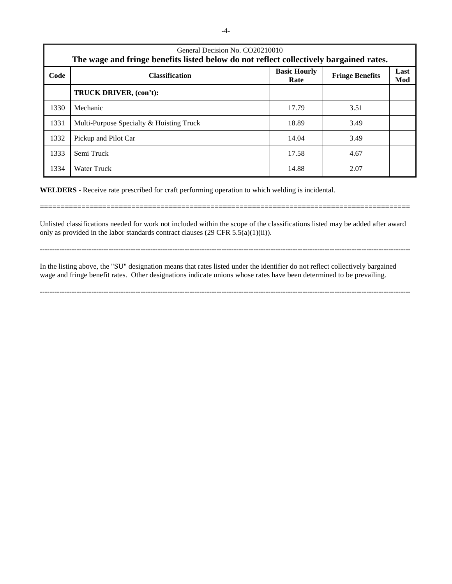| General Decision No. CO20210010 |                                                                                        |                             |                        |             |  |
|---------------------------------|----------------------------------------------------------------------------------------|-----------------------------|------------------------|-------------|--|
|                                 | The wage and fringe benefits listed below do not reflect collectively bargained rates. |                             |                        |             |  |
| Code                            | <b>Classification</b>                                                                  | <b>Basic Hourly</b><br>Rate | <b>Fringe Benefits</b> | Last<br>Mod |  |
|                                 | TRUCK DRIVER, (con't):                                                                 |                             |                        |             |  |
| 1330                            | Mechanic                                                                               | 17.79                       | 3.51                   |             |  |
| 1331                            | Multi-Purpose Specialty & Hoisting Truck                                               | 18.89                       | 3.49                   |             |  |
| 1332                            | Pickup and Pilot Car                                                                   | 14.04                       | 3.49                   |             |  |
| 1333                            | Semi Truck                                                                             | 17.58                       | 4.67                   |             |  |
| 1334                            | Water Truck                                                                            | 14.88                       | 2.07                   |             |  |

**WELDERS** - Receive rate prescribed for craft performing operation to which welding is incidental.

Unlisted classifications needed for work not included within the scope of the classifications listed may be added after award only as provided in the labor standards contract clauses (29 CFR 5.5(a)(1)(ii)).

=========================================================================================

-------------------------------------------------------------------------------------------------------------------------------------------------------

-------------------------------------------------------------------------------------------------------------------------------------------------------

In the listing above, the "SU" designation means that rates listed under the identifier do not reflect collectively bargained wage and fringe benefit rates. Other designations indicate unions whose rates have been determined to be prevailing.